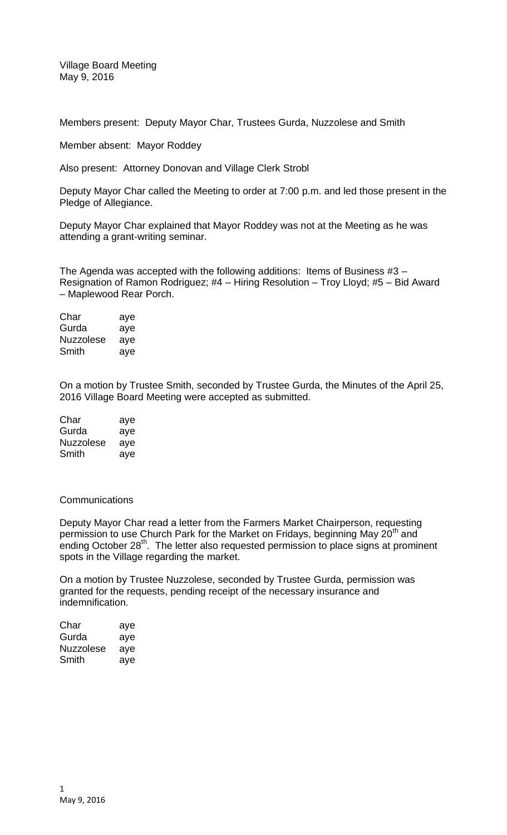Village Board Meeting May 9, 2016

Members present: Deputy Mayor Char, Trustees Gurda, Nuzzolese and Smith

Member absent: Mayor Roddey

Also present: Attorney Donovan and Village Clerk Strobl

Deputy Mayor Char called the Meeting to order at 7:00 p.m. and led those present in the Pledge of Allegiance.

Deputy Mayor Char explained that Mayor Roddey was not at the Meeting as he was attending a grant-writing seminar.

The Agenda was accepted with the following additions: Items of Business #3 – Resignation of Ramon Rodriguez; #4 – Hiring Resolution – Troy Lloyd; #5 – Bid Award – Maplewood Rear Porch.

Char aye Gurda aye Nuzzolese aye Smith aye

On a motion by Trustee Smith, seconded by Trustee Gurda, the Minutes of the April 25, 2016 Village Board Meeting were accepted as submitted.

| Char             | aye |
|------------------|-----|
| Gurda            | aye |
| <b>Nuzzolese</b> | aye |
| Smith            | aye |

## **Communications**

Deputy Mayor Char read a letter from the Farmers Market Chairperson, requesting permission to use Church Park for the Market on Fridays, beginning May 20<sup>th</sup> and ending October 28<sup>th</sup>. The letter also requested permission to place signs at prominent spots in the Village regarding the market.

On a motion by Trustee Nuzzolese, seconded by Trustee Gurda, permission was granted for the requests, pending receipt of the necessary insurance and indemnification.

| aye |
|-----|
| aye |
| aye |
| aye |
|     |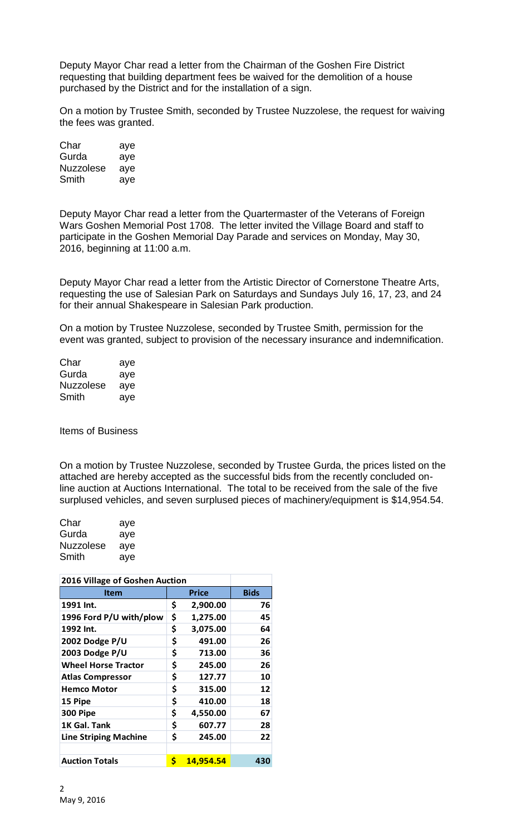Deputy Mayor Char read a letter from the Chairman of the Goshen Fire District requesting that building department fees be waived for the demolition of a house purchased by the District and for the installation of a sign.

On a motion by Trustee Smith, seconded by Trustee Nuzzolese, the request for waiving the fees was granted.

| Char      | aye |
|-----------|-----|
| Gurda     | aye |
| Nuzzolese | aye |
| Smith     | aye |

Deputy Mayor Char read a letter from the Quartermaster of the Veterans of Foreign Wars Goshen Memorial Post 1708. The letter invited the Village Board and staff to participate in the Goshen Memorial Day Parade and services on Monday, May 30, 2016, beginning at 11:00 a.m.

Deputy Mayor Char read a letter from the Artistic Director of Cornerstone Theatre Arts, requesting the use of Salesian Park on Saturdays and Sundays July 16, 17, 23, and 24 for their annual Shakespeare in Salesian Park production.

On a motion by Trustee Nuzzolese, seconded by Trustee Smith, permission for the event was granted, subject to provision of the necessary insurance and indemnification.

| Char             | aye |
|------------------|-----|
| Gurda            | aye |
| <b>Nuzzolese</b> | aye |
| Smith            | aye |

Items of Business

On a motion by Trustee Nuzzolese, seconded by Trustee Gurda, the prices listed on the attached are hereby accepted as the successful bids from the recently concluded online auction at Auctions International. The total to be received from the sale of the five surplused vehicles, and seven surplused pieces of machinery/equipment is \$14,954.54.

| Char             | aye |
|------------------|-----|
| Gurda            | aye |
| <b>Nuzzolese</b> | aye |
| Smith            | aye |

| 2016 Village of Goshen Auction |    |                  |             |
|--------------------------------|----|------------------|-------------|
| <b>Item</b>                    |    | <b>Price</b>     | <b>Bids</b> |
| 1991 Int.                      | \$ | 2,900.00         | 76          |
| 1996 Ford P/U with/plow        | \$ | 1,275.00         | 45          |
| 1992 Int.                      | \$ | 3,075.00         | 64          |
| 2002 Dodge P/U                 | \$ | 491.00           | 26          |
| 2003 Dodge P/U                 | \$ | 713.00           | 36          |
| <b>Wheel Horse Tractor</b>     | \$ | 245.00           | 26          |
| <b>Atlas Compressor</b>        | \$ | 127.77           | 10          |
| <b>Hemco Motor</b>             | \$ | 315.00           | 12          |
| 15 Pipe                        | \$ | 410.00           | 18          |
| 300 Pipe                       | \$ | 4,550.00         | 67          |
| 1K Gal. Tank                   | \$ | 607.77           | 28          |
| <b>Line Striping Machine</b>   | \$ | 245.00           | 22          |
|                                |    |                  |             |
| <b>Auction Totals</b>          | \$ | <u>14,954.54</u> | 430         |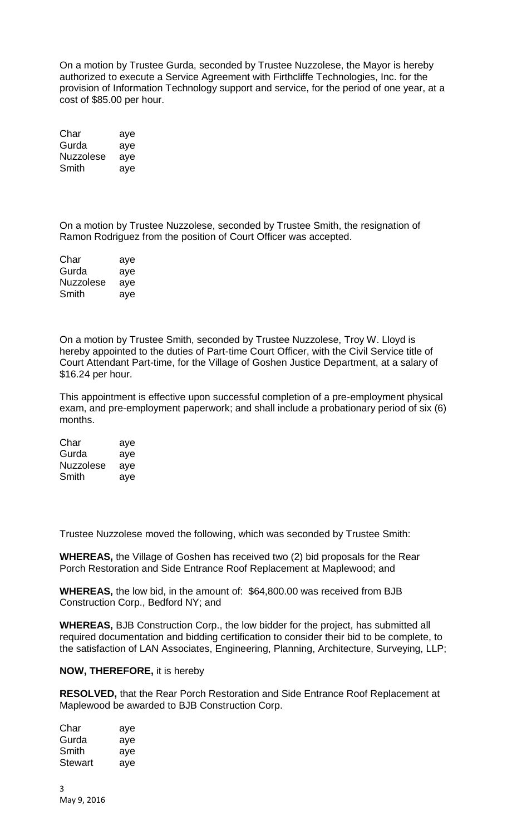On a motion by Trustee Gurda, seconded by Trustee Nuzzolese, the Mayor is hereby authorized to execute a Service Agreement with Firthcliffe Technologies, Inc. for the provision of Information Technology support and service, for the period of one year, at a cost of \$85.00 per hour.

| Char      | aye |
|-----------|-----|
| Gurda     | aye |
| Nuzzolese | ave |
| Smith     | ave |

On a motion by Trustee Nuzzolese, seconded by Trustee Smith, the resignation of Ramon Rodriguez from the position of Court Officer was accepted.

| Char      | aye |
|-----------|-----|
| Gurda     | aye |
| Nuzzolese | aye |
| Smith     | aye |

On a motion by Trustee Smith, seconded by Trustee Nuzzolese, Troy W. Lloyd is hereby appointed to the duties of Part-time Court Officer, with the Civil Service title of Court Attendant Part-time, for the Village of Goshen Justice Department, at a salary of \$16.24 per hour.

This appointment is effective upon successful completion of a pre-employment physical exam, and pre-employment paperwork; and shall include a probationary period of six (6) months.

| Char             | aye |
|------------------|-----|
| Gurda            | aye |
| <b>Nuzzolese</b> | aye |
| Smith            | aye |

Trustee Nuzzolese moved the following, which was seconded by Trustee Smith:

**WHEREAS,** the Village of Goshen has received two (2) bid proposals for the Rear Porch Restoration and Side Entrance Roof Replacement at Maplewood; and

**WHEREAS,** the low bid, in the amount of: \$64,800.00 was received from BJB Construction Corp., Bedford NY; and

**WHEREAS,** BJB Construction Corp., the low bidder for the project, has submitted all required documentation and bidding certification to consider their bid to be complete, to the satisfaction of LAN Associates, Engineering, Planning, Architecture, Surveying, LLP;

## **NOW, THEREFORE,** it is hereby

**RESOLVED,** that the Rear Porch Restoration and Side Entrance Roof Replacement at Maplewood be awarded to BJB Construction Corp.

| Char    | aye |
|---------|-----|
| Gurda   | aye |
| Smith   | aye |
| Stewart | aye |